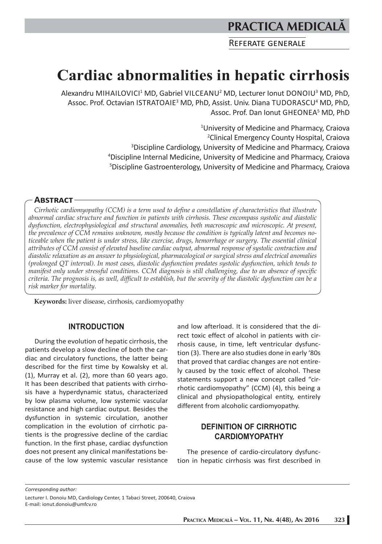## **PRACTICA MEDICAL**

REFERATE GENERALE

# **Cardiac abnormalities in hepatic cirrhosis**

Alexandru MIHAILOVICI<sup>1</sup> MD, Gabriel VILCEANU<sup>2</sup> MD, Lecturer Ionut DONOIU<sup>3</sup> MD, PhD, Assoc. Prof. Octavian ISTRATOAIE<sup>3</sup> MD, PhD, Assist. Univ. Diana TUDORASCU<sup>4</sup> MD, PhD, Assoc. Prof. Dan Ionut GHEONEA<sup>5</sup> MD, PhD

> University of Medicine and Pharmacy, Craiova Clinical Emergency County Hospital, Craiova Discipline Cardiology, University of Medicine and Pharmacy, Craiova Discipline Internal Medicine, University of Medicine and Pharmacy, Craiova Discipline Gastroenterology, University of Medicine and Pharmacy, Craiova

## **ABSTRACT-**

*Cirrhotic cardiomyopathy (CCM) is a term used to define a constellation of characteristics that illustrate abnormal cardiac structure and function in patients with cirrhosis. These encompass systolic and diastolic dysfunction, electrophysiological and structural anomalies, both macroscopic and microscopic. At present, the prevalence of CCM remains unknown, mostly because the condition is typically latent and becomes noticeable when the patient is under stress, like exercise, drugs, hemorrhage or surgery. The essential clinical attributes of CCM consist of elevated baseline cardiac output, abnormal response of systolic contraction and diastolic relaxation as an answer to physiological, pharmacological or surgical stress and electrical anomalies (prolonged QT interval). In most cases, diastolic dysfunction predates systolic dysfunction, which tends to manifest only under stressful conditions. CCM diagnosis is still challenging, due to an absence of specific criteria. The prognosis is, as well, difficult to establish, but the severity of the diastolic dysfunction can be a risk marker for mortality.*

**Keywords:** liver disease, cirrhosis, cardiomyopathy

#### **INTRODUCTION**

During the evolution of hepatic cirrhosis, the patients develop a slow decline of both the cardiac and circulatory functions, the latter being described for the first time by Kowalsky et al. (1), Murray et al. (2), more than 60 years ago. It has been described that patients with cirrhosis have a hyperdynamic status, characterized by low plasma volume, low systemic vascular resistance and high cardiac output. Besides the dysfunction in systemic circulation, another complication in the evolution of cirrhotic patients is the progressive decline of the cardiac function. In the first phase, cardiac dysfunction does not present any clinical manifestations because of the low systemic vascular resistance

and low afterload. It is considered that the direct toxic effect of alcohol in patients with cirrhosis cause, in time, left ventricular dysfunction (3). There are also studies done in early '80s that proved that cardiac changes are not entirely caused by the toxic effect of alcohol. These statements support a new concept called "cirrhotic cardiomyopathy" (CCM) (4), this being a clinical and physiopathological entity, entirely different from alcoholic cardiomyopathy.

## **DEFINITION OF CIRRHOTIC CARDIOMYOPATHY**

The presence of cardio-circulatory dysfunction in hepatic cirrhosis was first described in

*Corresponding author:*

Lecturer I. Donoiu MD, Cardiology Center, 1 Tabaci Street, 200640, Craiova E-mail: ionut.donoiu@umfcv.ro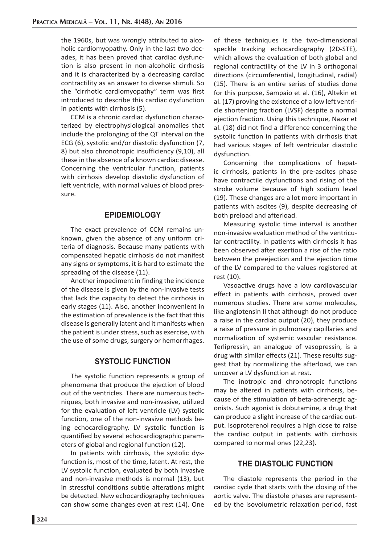the 1960s, but was wrongly attributed to alcoholic cardiomyopathy. Only in the last two decades, it has been proved that cardiac dysfunction is also present in non-alcoholic cirrhosis and it is characterized by a decreasing cardiac contractility as an answer to diverse stimuli. So the "cirrhotic cardiomyopathy" term was first introduced to describe this cardiac dysfunction in patients with cirrhosis (5).

CCM is a chronic cardiac dysfunction characterized by electrophysiological anomalies that include the prolonging of the QT interval on the ECG (6), systolic and/or diastolic dysfunction (7, 8) but also chronotropic insufficiency (9,10), all these in the absence of a known cardiac disease. Concerning the ventricular function, patients with cirrhosis develop diastolic dysfunction of left ventricle, with normal values of blood pressure.

## **EPIDEMIOLOGY**

The exact prevalence of CCM remains unknown, given the absence of any uniform criteria of diagnosis. Because many patients with compensated hepatic cirrhosis do not manifest any signs or symptoms, it is hard to estimate the spreading of the disease (11).

Another impediment in finding the incidence of the disease is given by the non-invasive tests that lack the capacity to detect the cirrhosis in early stages (11). Also, another inconvenient in the estimation of prevalence is the fact that this disease is generally latent and it manifests when the patient is under stress, such as exercise, with the use of some drugs, surgery or hemorrhages.

## **SYSTOLIC FUNCTION**

The systolic function represents a group of phenomena that produce the ejection of blood out of the ventricles. There are numerous techniques, both invasive and non-invasive, utilized for the evaluation of left ventricle (LV) systolic function, one of the non-invasive methods being echocardiography. LV systolic function is quantified by several echocardiographic parameters of global and regional function (12).

In patients with cirrhosis, the systolic dysfunction is, most of the time, latent. At rest, the LV systolic function, evaluated by both invasive and non-invasive methods is normal (13), but in stressful conditions subtle alterations might be detected. New echocardiography techniques can show some changes even at rest (14). One

of these techniques is the two-dimensional speckle tracking echocardiography (2D-STE), which allows the evaluation of both global and regional contractility of the LV in 3 orthogonal directions (circumferential, longitudinal, radial) (15). There is an entire series of studies done for this purpose, Sampaio et al. (16), Altekin et al. (17) proving the existence of a low left ventricle shortening fraction (LVSF) despite a normal ejection fraction. Using this technique, Nazar et al. (18) did not find a difference concerning the systolic function in patients with cirrhosis that had various stages of left ventricular diastolic dysfunction.

Concerning the complications of hepatic cirrhosis, patients in the pre-ascites phase have contractile dysfunctions and rising of the stroke volume because of high sodium level (19). These changes are a lot more important in patients with ascites (9), despite decreasing of both preload and afterload.

Measuring systolic time interval is another non-invasive evaluation method of the ventricular contractility. In patients with cirrhosis it has been observed after exertion a rise of the ratio between the preejection and the ejection time of the LV compared to the values registered at rest (10).

Vasoactive drugs have a low cardiovascular effect in patients with cirrhosis, proved over numerous studies. There are some molecules, like angiotensin II that although do not produce a raise in the cardiac output (20), they produce a raise of pressure in pulmonary capillaries and normalization of systemic vascular resistance. Terlipressin, an analogue of vasopressin, is a drug with similar effects (21). These results suggest that by normalizing the afterload, we can uncover a LV dysfunction at rest.

The inotropic and chronotropic functions may be altered in patients with cirrhosis, because of the stimulation of beta-adrenergic agonists. Such agonist is dobutamine, a drug that can produce a slight increase of the cardiac output. Isoproterenol requires a high dose to raise the cardiac output in patients with cirrhosis compared to normal ones (22,23).

## **THE DIASTOLIC FUNCTION**

The diastole represents the period in the cardiac cycle that starts with the closing of the aortic valve. The diastole phases are represented by the isovolumetric relaxation period, fast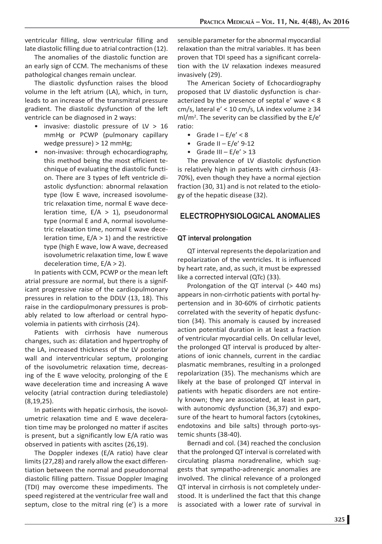ventricular filling, slow ventricular filling and late diastolic filling due to atrial contraction (12).

The anomalies of the diastolic function are an early sign of CCM. The mechanisms of these pathological changes remain unclear.

The diastolic dysfunction raises the blood volume in the left atrium (LA), which, in turn, leads to an increase of the transmitral pressure gradient. The diastolic dysfunction of the left ventricle can be diagnosed in 2 ways:

- invasive: diastolic pressure of LV > 16 mmHg or PCWP (pulmonary capillary wedge pressure) > 12 mmHg;
- non-invasive: through echocardiography, this method being the most efficient technique of evaluating the diastolic function. There are 3 types of left ventricle diastolic dysfunction: abnormal relaxation type (low E wave, increased isovolumetric relaxation time, normal E wave deceleration time,  $E/A > 1$ ), pseudonormal type (normal E and A, normal isovolumetric relaxation time, normal E wave deceleration time,  $E/A > 1$ ) and the restrictive type (high E wave, low A wave, decreased isovolumetric relaxation time, low E wave deceleration time, E/A > 2).

In patients with CCM, PCWP or the mean left atrial pressure are normal, but there is a significant progressive raise of the cardiopulmonary pressures in relation to the DDLV (13, 18). This raise in the cardiopulmonary pressures is probably related to low afterload or central hypovolemia in patients with cirrhosis (24).

Patients with cirrhosis have numerous changes, such as: dilatation and hypertrophy of the LA, increased thickness of the LV posterior wall and interventricular septum, prolonging of the isovolumetric relaxation time, decreasing of the E wave velocity, prolonging of the E wave deceleration time and increasing A wave velocity (atrial contraction during telediastole) (8,19,25).

In patients with hepatic cirrhosis, the isovolumetric relaxation time and E wave deceleration time may be prolonged no matter if ascites is present, but a significantly low E/A ratio was observed in patients with ascites (26,19).

The Doppler indexes (E/A ratio) have clear limits (27,28) and rarely allow the exact differentiation between the normal and pseudonormal diastolic filling pattern. Tissue Doppler Imaging (TDI) may overcome these impediments. The speed registered at the ventricular free wall and septum, close to the mitral ring (e') is a more

sensible parameter for the abnormal myocardial relaxation than the mitral variables. It has been proven that TDI speed has a significant correlation with the LV relaxation indexes measured invasively (29).

The American Society of Echocardiography proposed that LV diastolic dysfunction is characterized by the presence of septal e' wave < 8 cm/s, lateral  $e'$  < 10 cm/s, LA index volume  $\ge$  34 ml/m2 . The severity can be classified by the E/e' ratio:

- Grade  $I E/e' < 8$
- Grade II E/e' 9-12
- Grade III  $E/e' > 13$

The prevalence of LV diastolic dysfunction is relatively high in patients with cirrhosis (43- 70%), even though they have a normal ejection fraction (30, 31) and is not related to the etiology of the hepatic disease (32).

## **ELECTROPHYSIOLOGICAL ANOMALIES**

#### **QT interval prolongation**

QT interval represents the depolarization and repolarization of the ventricles. It is influenced by heart rate, and, as such, it must be expressed like a corrected interval (QTc) (33).

Prolongation of the QT interval (> 440 ms) appears in non-cirrhotic patients with portal hypertension and in 30-60% of cirrhotic patients correlated with the severity of hepatic dysfunction (34). This anomaly is caused by increased action potential duration in at least a fraction of ventricular myocardial cells. On cellular level, the prolonged QT interval is produced by alterations of ionic channels, current in the cardiac plasmatic membranes, resulting in a prolonged repolarization (35). The mechanisms which are likely at the base of prolonged QT interval in patients with hepatic disorders are not entirely known; they are associated, at least in part, with autonomic dysfunction (36,37) and exposure of the heart to humoral factors (cytokines, endotoxins and bile salts) through porto-systemic shunts (38-40).

Bernadi and col. (34) reached the conclusion that the prolonged QT interval is correlated with circulating plasma noradrenaline, which suggests that sympatho-adrenergic anomalies are involved. The clinical relevance of a prolonged QT interval in cirrhosis is not completely understood. It is underlined the fact that this change is associated with a lower rate of survival in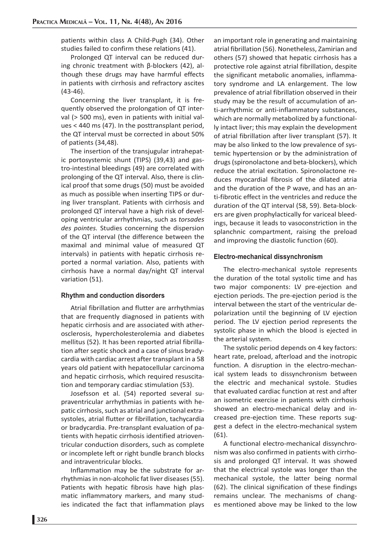patients within class A Child-Pugh (34). Other studies failed to confirm these relations (41).

Prolonged QT interval can be reduced during chronic treatment with β-blockers (42), although these drugs may have harmful effects in patients with cirrhosis and refractory ascites (43-46).

Concerning the liver transplant, it is frequently observed the prolongation of QT interval (> 500 ms), even in patients with initial values < 440 ms (47). In the posttransplant period, the QT interval must be corrected in about 50% of patients (34,48).

The insertion of the transjugular intrahepatic portosystemic shunt (TIPS) (39,43) and gastro-intestinal bleedings (49) are correlated with prolonging of the QT interval. Also, there is clinical proof that some drugs (50) must be avoided as much as possible when inserting TIPS or during liver transplant. Patients with cirrhosis and prolonged QT interval have a high risk of developing ventricular arrhythmias, such as *torsades des pointes.* Studies concerning the dispersion of the QT interval (the difference between the maximal and minimal value of measured QT intervals) in patients with hepatic cirrhosis reported a normal variation. Also, patients with cirrhosis have a normal day/night QT interval variation (51).

#### **Rhythm and conduction disorders**

Atrial fibrillation and flutter are arrhythmias that are frequently diagnosed in patients with hepatic cirrhosis and are associated with atherosclerosis, hypercholesterolemia and diabetes mellitus (52). It has been reported atrial fibrillation after septic shock and a case of sinus bradycardia with cardiac arrest after transplant in a 58 years old patient with hepatocellular carcinoma and hepatic cirrhosis, which required resuscitation and temporary cardiac stimulation (53).

Josefsson et al. (54) reported several supraventricular arrhythmias in patients with hepatic cirrhosis, such as atrial and junctional extrasystoles, atrial flutter or fibrillation, tachycardia or bradycardia. Pre-transplant evaluation of patients with hepatic cirrhosis identified atrioventricular conduction disorders, such as complete or incomplete left or right bundle branch blocks and intraventricular blocks.

Inflammation may be the substrate for arrhythmias in non-alcoholic fat liver diseases (55). Patients with hepatic fibrosis have high plasmatic inflammatory markers, and many studies indicated the fact that inflammation plays an important role in generating and maintaining atrial fibrillation (56). Nonetheless, Zamirian and others (57) showed that hepatic cirrhosis has a protective role against atrial fibrillation, despite the significant metabolic anomalies, inflammatory syndrome and LA enlargement. The low prevalence of atrial fibrillation observed in their study may be the result of accumulation of anti-arrhythmic or anti-inflammatory substances, which are normally metabolized by a functionally intact liver; this may explain the development of atrial fibrillation after liver transplant (57). It may be also linked to the low prevalence of systemic hypertension or by the administration of drugs (spironolactone and beta-blockers), which reduce the atrial excitation. Spironolactone reduces myocardial fibrosis of the dilated atria and the duration of the P wave, and has an anti-fibrotic effect in the ventricles and reduce the duration of the QT interval (58, 59). Beta-blockers are given prophylactically for variceal bleedings, because it leads to vasoconstriction in the splanchnic compartment, raising the preload and improving the diastolic function (60).

#### **Electro-mechanical dissynchronism**

The electro-mechanical systole represents the duration of the total systolic time and has two major components: LV pre-ejection and ejection periods. The pre-ejection period is the interval between the start of the ventricular depolarization until the beginning of LV ejection period. The LV ejection period represents the systolic phase in which the blood is ejected in the arterial system.

The systolic period depends on 4 key factors: heart rate, preload, afterload and the inotropic function. A disruption in the electro-mechanical system leads to dissynchronism between the electric and mechanical systole. Studies that evaluated cardiac function at rest and after an isometric exercise in patients with cirrhosis showed an electro-mechanical delay and increased pre-ejection time. These reports suggest a defect in the electro-mechanical system (61).

A functional electro-mechanical dissynchronism was also confirmed in patients with cirrhosis and prolonged QT interval. It was showed that the electrical systole was longer than the mechanical systole, the latter being normal (62). The clinical signification of these findings remains unclear. The mechanisms of changes mentioned above may be linked to the low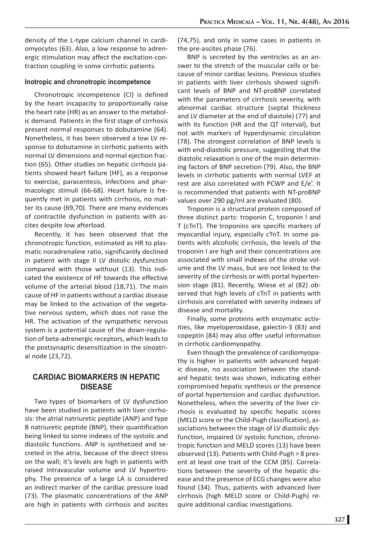density of the L-type calcium channel in cardiomyocytes (63). Also, a low response to adrenergic stimulation may affect the excitation-contraction coupling in some cirrhotic patients.

#### **Inotropic and chronotropic incompetence**

Chronotropic incompetence (CI) is defined by the heart incapacity to proportionally raise the heart rate (HR) as an answer to the metabolic demand. Patients in the first stage of cirrhosis present normal responses to dobutamine (64). Nonetheless, it has been observed a low LV response to dobutamine in cirrhotic patients with normal LV dimensions and normal ejection fraction (65). Other studies on hepatic cirrhosis patients showed heart failure (HF), as a response to exercise, paracentesis, infections and pharmacologic stimuli (66-68). Heart failure is frequently met in patients with cirrhosis, no matter its cause (69,70). There are many evidences of contractile dysfunction in patients with ascites despite low afterload.

Recently, it has been observed that the chronotropic function, estimated as HR to plasmatic noradrenaline ratio, significantly declined in patient with stage II LV distolic dysfunction compared with those without (13). This indicated the existence of HF towards the effective volume of the arterial blood (18,71). The main cause of HF in patients without a cardiac disease may be linked to the activation of the vegetative nervous system, which does not raise the HR. The activation of the sympathetic nervous system is a potential cause of the down-regulation of beta-adrenergic receptors, which leads to the postsynaptic desensitization in the sinoatrial node (23,72).

## **CARDIAC BIOMARKERS IN HEPATIC DISEASE**

Two types of biomarkers of LV dysfunction have been studied in patients with liver cirrhosis: the atrial natriuretic peptide (ANP) and type B natriuretic peptide (BNP), their quantification being linked to some indexes of the systolic and diastolic functions. ANP is synthetized and secreted in the atria, because of the direct stress on the wall; it's levels are high in patients with raised intravascular volume and LV hypertrophy. The presence of a large LA is considered an indirect marker of the cardiac pressure load (73). The plasmatic concentrations of the ANP are high in patients with cirrhosis and ascites (74,75), and only in some cases in patients in the pre-ascites phase (76).

BNP is secreted by the ventricles as an answer to the stretch of the muscular cells or because of minor cardiac lesions. Previous studies in patients with liver cirrhosis showed significant levels of BNP and NT-proBNP correlated with the parameters of cirrhosis severity, with abnormal cardiac structure (septal thickness and LV diameter at the end of diastole) (77) and with its function (HR and the QT interval), but not with markers of hyperdynamic circulation (78). The strongest correlation of BNP levels is with end-diastolic pressure, suggesting that the diastolic relaxation is one of the main determining factors of BNP secretion (79). Also, the BNP levels in cirrhotic patients with normal LVEF at rest are also correlated with PCWP and E/e'. It is recommended that patients with NT-proBNP values over 290 pg/ml are evaluated (80).

Troponin is a structural protein composed of three distinct parts: troponin C, troponin I and T (cTnT). The troponins are specific markers of myocardial injury, especially cTnT. In some patients with alcoholic cirrhosis, the levels of the troponin I are high and their concentrations are associated with small indexes of the stroke volume and the LV mass, but are not linked to the severity of the cirrhosis or with portal hypertension stage (81). Recently, Wiese et al (82) observed that high levels of cTnT in patients with cirrhosis are correlated with severity indexes of disease and mortality.

Finally, some proteins with enzymatic activities, like myeloperoxidase, galectin-3 (83) and copeptin (84) may also offer useful information in cirrhotic cardiomyopathy.

Even though the prevalence of cardiomyopathy is higher in patients with advanced hepatic disease, no association between the standard hepatic tests was shown, indicating either compromised hepatic synthesis or the presence of portal hypertension and cardiac dysfunction. Nonetheless, when the severity of the liver cirrhosis is evaluated by specific hepatic scores (MELD score or the Child-Pugh classification), associations between the stage of LV diastolic dysfunction, impaired LV systolic function, chronotropic function and MELD scores (13) have been observed (13). Patients with Child-Pugh > 8 present at least one trait of the CCM (85). Correlations between the severity of the hepatic disease and the presence of ECG changes were also found (34). Thus, patients with advanced liver cirrhosis (high MELD score or Child-Pugh) require additional cardiac investigations.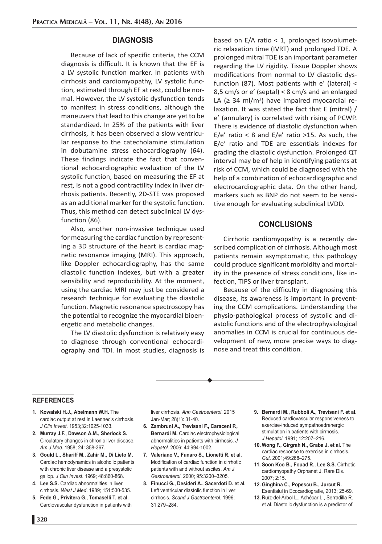## **DIAGNOSIS**

Because of lack of specific criteria, the CCM diagnosis is difficult. It is known that the EF is a LV systolic function marker. In patients with cirrhosis and cardiomyopathy, LV systolic function, estimated through EF at rest, could be normal. However, the LV systolic dysfunction tends to manifest in stress conditions, although the maneuvers that lead to this change are yet to be standardized. In 25% of the patients with liver cirrhosis, it has been observed a slow ventricular response to the catecholamine stimulation in dobutamine stress echocardiography (64). These findings indicate the fact that conventional echocardiographic evaluation of the LV systolic function, based on measuring the EF at rest, is not a good contractility index in liver cirrhosis patients. Recently, 2D-STE was proposed as an additional marker for the systolic function. Thus, this method can detect subclinical LV dysfunction (86).

Also, another non-invasive technique used for measuring the cardiac function by representing a 3D structure of the heart is cardiac magnetic resonance imaging (MRI). This approach, like Doppler echocardiography, has the same diastolic function indexes, but with a greater sensibility and reproducibility. At the moment, using the cardiac MRI may just be considered a research technique for evaluating the diastolic function. Magnetic resonance spectroscopy has the potential to recognize the myocardial bioenergetic and metabolic changes.

The LV diastolic dysfunction is relatively easy to diagnose through conventional echocardiography and TDI. In most studies, diagnosis is based on  $E/A$  ratio < 1, prolonged isovolumetric relaxation time (IVRT) and prolonged TDE. A prolonged mitral TDE is an important parameter regarding the LV rigidity. Tissue Doppler shows modifications from normal to LV diastolic dysfunction (87). Most patients with e' (lateral) < 8,5 cm/s or e' (septal) < 8 cm/s and an enlarged LA ( $\geq$  34 ml/m<sup>2</sup>) have impaired myocardial relaxation. It was stated the fact that E (mitral) / e' (annulary) is correlated with rising of PCWP. There is evidence of diastolic dysfunction when E/e' ratio < 8 and E/e' ratio >15. As such, the E/e' ratio and TDE are essentials indexes for grading the diastolic dysfunction. Prolonged QT interval may be of help in identifying patients at risk of CCM, which could be diagnosed with the help of a combination of echocardiographic and electrocardiographic data. On the other hand, markers such as BNP do not seem to be sensitive enough for evaluating subclinical LVDD.

## **CONCLUSIONS**

Cirrhotic cardiomyopathy is a recently described complication of cirrhosis. Although most patients remain asymptomatic, this pathology could produce significant morbidity and mortality in the presence of stress conditions, like infection, TIPS or liver transplant.

Because of the difficulty in diagnosing this disease, its awareness is important in preventing the CCM complications. Understanding the physio-pathological process of systolic and diastolic functions and of the electrophysiological anomalies in CCM is crucial for continuous development of new, more precise ways to diagnose and treat this condition.

#### **REFERENCES**

- **1. Kowalski H.J., Abelmann W.H.** The cardiac output at rest in Laennec's cirrhosis. *J Clin Invest*. 1953;32:1025-1033.
- **2. Murray J.F., Dawson A.M., Sherlock S.** Circulatory changes in chronic liver disease. *Am J Med*. 1958; 24: 358-367.
- **3. Gould L., Shariff M., Zahir M., Di Lieto M.** Cardiac hemodynamics in alcoholic patients with chronic liver disease and a presystolic gallop. *J Clin Invest*. 1969; 48:860-868.
- **4. Lee S.S.** Cardiac abnormalities in liver cirrhosis. *West J Med*. 1989; 151:530-535.
- **5. Fede G., Privitera G., Tomaselli T. et al.** Cardiovascular dysfunction in patients with

liver cirrhosis. *Ann Gastroenterol*. 2015 Jan-Mar; 28(1): 31-40.

- **6. Zambruni A., Trevisani F., Caraceni P., Bernardi M.** Cardiac electrophysiological abnormalities in patients with cirrhosis. *J Hepatol*. 2006; 44:994-1002.
- **7. Valeriano V., Funaro S., Lionetti R. et al.** Modification of cardiac function in cirrhotic patients with and without ascites. *Am J Gastroenterol*. 2000; 95:3200–3205.
- **8. Finucci G., Desideri A., Sacerdoti D. et al.** Left ventricular diastolic function in liver cirrhosis. *Scand J Gastroenterol*. 1996; 31:279–284.
- **9. Bernardi M., Rubboli A., Trevisani F. et al.** Reduced cardiovascular responsiveness to exercise-induced sympathoadrenergic stimulation in patients with cirrhosis. *J Hepatol*. 1991; 12:207–216.
- **10. Wong F., Girgrah N., Graba J. et al.** The cardiac response to exercise in cirrhosis. *Gut*. 2001;49:268–275.
- **11. Soon Koo B., Fouad R., Lee S.S.** Cirrhotic cardiomyopathy Orphanet J. Rare Dis. 2007; 2:15.
- **12. Ginghina C., Popescu B., Jurcut R.** Esentialul in Ecocardiografie, 2013; 25-69.
- **13.** Ruíz-del-Árbol L., Achécar L., Serradilla R. et al. Diastolic dysfunction is a predictor of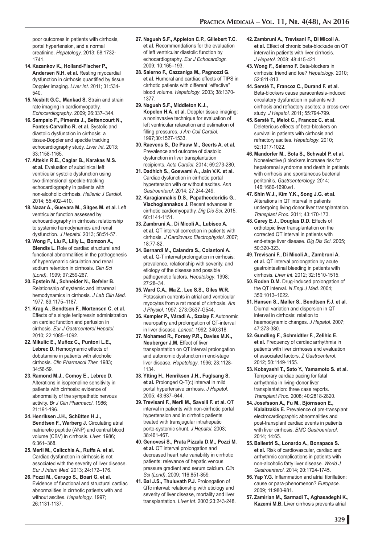poor outcomes in patients with cirrhosis, portal hypertension, and a normal creatinine. *Hepatology*. 2013; 58:1732- 1741.

- **14. Kazankov K., Holland-Fischer P., Andersen N.H. et al.** Resting myocardial dysfunction in cirrhosis quantified by tissue Doppler imaging. *Liver Int*. 2011; 31:534- 540.
- **15. Nesbitt G.C., Mankad S.** Strain and strain rate imaging in cardiomyopathy. *Echocardiography*. 2009; 26:337–344.
- **16. Sampaio F., Pimenta J., Bettencourt N., Fontes-Carvalho R. et al.** Systolic and diastolic dysfunction in cirrhosis: a tissue-Doppler and speckle tracking echocardiography study. *Liver Int*. 2013; 33:1158-1165.
- **17. Altekin R.E., Caglar B., Karakas M.S. et al.** Evaluation of subclinical left ventricular systolic dysfunction using two-dimensional speckle-tracking echocardiography in patients with non-alcoholic cirrhosis. *Hellenic J Cardiol*. 2014; 55:402–410.
- **18. Nazar A., Guevara M., Sitges M. et al.** Left ventricular function assessed by echocardiography in cirrhosis: relationship to systemic hemodynamics and renal dysfunction. *J Hepatol*. 2013; 58:51-57.
- **19. Wong F., Liu P., Lilly L., Bomzon A., Blendis L.** Role of cardiac structural and functional abnormalities in the pathogenesis of hyperdynamic circulation and renal sodium retention in cirrhosis. *Clin Sci (Lond).* 1999; 97:259-267.
- **20. Epstein M., Schneider N., Befeler B.** Relationship of systemic and intrarenal hemodynamics in cirrhosis. *J Lab Clin Med*. 1977; 89:1175–1187.
- **21. Krag A., Bendtsen F., Mortensen C. et al.** Effects of a single terlipressin administration on cardiac function and perfusion in cirrhosis. *Eur J Gastroenterol Hepatol*. 2010; 22:1085–1092.
- **22. Mikulic E., Muñoz C., Puntoni L.E., Lebrec D.** Hemodynamic effects of dobutamine in patients with alcoholic cirrhosis. *Clin Pharmacol Ther*. 1983; 34:56-59.
- **23. Ramond M.J., Comoy E., Lebrec D.** Alterations in isoprenaline sensitivity in patients with cirrhosis: evidence of abnormality of the sympathetic nervous activity. *Br J Clin Pharmacol*. 1986; 21:191-196.
- **24. Henriksen J.H., Schütten H.J., Bendtsen F., Warberg J.** Circulating atrial natriuretic peptide (ANP) and central blood volume (CBV) in cirrhosis. *Liver*. 1986; 6:361–368.
- **25. Merli M., Calicchia A., Ruffa A. et al.** Cardiac dysfunction in cirrhosis is not associated with the severity of liver disease. *Eur J Intern Med*. 2013; 24:172–176.
- **26. Pozzi M., Carugo S., Boari G. et al.** Evidence of functional and structural cardiac abnormalities in cirrhotic patients with and without ascites. *Hepatology*. 1997; 26:1131-1137.
- **27. Nagueh S.F., Appleton C.P., Gillebert T.C. et al.** Recommendations for the evaluation of left ventricular diastolic function by echocardiography. *Eur J Echocardiogr*. 2009; 10:165–193.
- **28. Salerno F., Cazzaniga M., Pagnozzi G. et al.** Humoral and cardiac effects of TIPS in cirrhotic patients with different "effective" blood volume. *Hepatology*. 2003; 38:1370- 1377.
- **29. Nagueh S.F., Middleton K.J., Kopelen H.A. et al.** Doppler tissue imaging: a noninvasive technique for evaluation of left ventricular relaxation and estimation of filling pressures. *J Am Coll Cardiol*. 1997;30:1527-1533.
- **30. Raevens S., De Pauw M., Geerts A. et al.** Prevalence and outcome of diastolic dysfunction in liver transplantation recipients. *Acta Cardiol*. 2014; 69:273-280.
- **31. Dadhich S., Goswami A., Jain V.K. et al.** Cardiac dysfunction in cirrhotic portal hypertension with or without ascites. *Ann Gastroenterol*. 2014; 27:244-249.
- **32. Karagiannakis D.S., Papatheodoridis G., Vlachogiannakos J.** Recent advances in cirrhotic cardiomyopathy. *Dig Dis Sci*. 2015; 60:1141-1151.
- **33. Zambruni A., Di Micoli A., Lubisco A. et al.** QT interval correction in patients with cirrhosis. *J Cardiovasc Electrophysiol*. 2007; 18:77-82.
- **34. Bernardi M., Calandra S., Colantoni A. et al.** Q-T interval prolongation in cirrhosis: prevalence, relationship with severity, and etiology of the disease and possible pathogenetic factors. *Hepatology*. 1998; 27:28–34.
- **35. Ward C.A., Ma Z., Lee S.S., Giles W.R.** Potassium currents in atrial and ventricular myocytes from a rat model of cirrhosis. *Am J Physiol*. 1997; 273:G537-G544.
- **36. Kempler P., Váradi A., Szalay F.** Autonomic neuropathy and prolongation of QT-interval in liver disease. *Lancet.* 1992; 340:318.
- **37. Mohamed R., Forsey P.R., Davies M.K., Neuberger J.M.** Effect of liver transplantation on QT interval prolongation and autonomic dysfunction in end-stage liver disease. *Hepatology*. 1996; 23:1128- 1134.
- **38. Ytting H., Henriksen J.H., Fuglsang S. et al.** Prolonged Q-T(c) interval in mild portal hypertensive cirrhosis. *J Hepatol*. 2005; 43:637–644.
- **39. Trevisani F., Merli M., Savelli F. et al.** QT interval in patients with non-cirrhotic portal hypertension and in cirrhotic patients treated with transjugular intrahepatic porto-systemic shunt. *J Hepatol*. 2003; 38:461-467.
- **40. Genovesi S., Prata Pizzala D.M., Pozzi M. et al.** QT interval prolongation and decreased heart rate variability in cirrhotic patients: relevance of hepatic venous pressure gradient and serum calcium. *Clin Sci (Lond)*. 2009; 116:851-859.
- **41. Bal J.S., Thuluvath P.J.** Prolongation of QTc interval: relationship with etiology and severity of liver disease, mortality and liver transplantation. *Liver Int*. 2003;23:243-248.
- **42. Zambruni A., Trevisani F., Di Micoli A. et al.** Effect of chronic beta-blockade on QT interval in patients with liver cirrhosis. *J Hepatol*. 2008; 48:415-421.
- **43. Wong F., Salerno F.** Beta-blockers in cirrhosis: friend and foe? *Hepatology*. 2010; 52:811-813.
- **44. Sersté T., Francoz C., Durand F. et al.** Beta-blockers cause paracentesis-induced circulatory dysfunction in patients with cirrhosis and refractory ascites: a cross-over study. *J Hepatol*. 2011; 55:794-799.
- **45. Sersté T., Melot C., Francoz C. et al.** Deleterious effects of beta-blockers on survival in patients with cirrhosis and refractory ascites. *Hepatology*. 2010; 52:1017-1022.
- **46. Mandorfer M., Bota S., Schwabl P. et al.** Nonselective β blockers increase risk for hepatorenal syndrome and death in patients with cirrhosis and spontaneous bacterial peritonitis. *Gastroenterology.* 2014; 146:1680-1690.e1.
- **47. Shin W.J., Kim Y.K., Song J.G. et al.** Alterations in QT interval in patients undergoing living donor liver transplantation. *Transplant Proc*. 2011; 43:170-173.
- **48. Carey E.J., Douglas D.D.** Effects of orthotopic liver transplantation on the corrected QT interval in patients with end-stage liver disease. *Dig Dis Sci*. 2005; 50:320-323.
- **49. Trevisani F., Di Micoli A., Zambruni A. et al.** QT interval prolongation by acute gastrointestinal bleeding in patients with cirrhosis. *Liver Int*. 2012; 32:1510-1515.
- **50. Roden D.M.** Drug-induced prolongation of the QT interval. *N Engl J Med*. 2004; 350:1013–1022.
- **51. Hansen S., Møller S., Bendtsen F.J. et al.** Diurnal variation and dispersion in QT interval in cirrhosis: relation to haemodynamic changes. *J Hepatol*. 2007; 47:373-380.
- **52. Gundling F., Schmidtler F., Zelihic E. et al.** Frequency of cardiac arrhythmia in patients with liver cirrhoses and evaluation of associated factors. *Z Gastroenterol*. 2012; 50:1149-1155.
- **53. Kobayashi T., Sato Y., Yamamoto S. et al.** Temporary cardiac pacing for fatal arrhythmia in living-donor liver transplantation: three case reports. *Transplant Proc*. 2008; 40:2818-2820.
- **54. Josefsson A., Fu M., Björnsson E., Kalaitzakis E.** Prevalence of pre-transplant electrocardiographic abnormalities and post-transplant cardiac events in patients with liver cirrhosis. *BMC Gastroenterol*. 2014; 14:65.
- **55. Ballestri S., Lonardo A., Bonapace S. et al.** Risk of cardiovascular, cardiac and arrhythmic complications in patients with non-alcoholic fatty liver disease. *World J Gastroenterol.* 2014; 20:1724-1745.
- **56. Yap Y.G.** Inflammation and atrial fibrillation: cause or para-phenomenon? *Europace.*  2009; 11:980-981.
- **57. Zamirian M., Sarmadi T., Aghasadeghi K., Kazemi M.B.** Liver cirrhosis prevents atrial